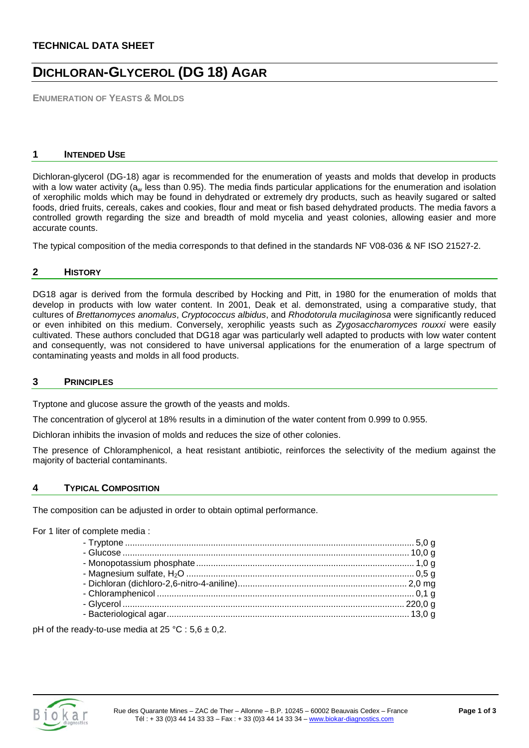# **TECHNICAL DATA SHEET**

# **DICHLORAN-GLYCEROL (DG 18) AGAR**

**ENUMERATION OF YEASTS & MOLDS**

#### **1 INTENDED USE**

Dichloran-glycerol (DG-18) agar is recommended for the enumeration of yeasts and molds that develop in products with a low water activity ( $a_w$  less than 0.95). The media finds particular applications for the enumeration and isolation of xerophilic molds which may be found in dehydrated or extremely dry products, such as heavily sugared or salted foods, dried fruits, cereals, cakes and cookies, flour and meat or fish based dehydrated products. The media favors a controlled growth regarding the size and breadth of mold mycelia and yeast colonies, allowing easier and more accurate counts.

The typical composition of the media corresponds to that defined in the standards NF V08-036 & NF ISO 21527-2.

#### **2 HISTORY**

DG18 agar is derived from the formula described by Hocking and Pitt, in 1980 for the enumeration of molds that develop in products with low water content. In 2001, Deak et al. demonstrated, using a comparative study, that cultures of *Brettanomyces anomalus*, *Cryptococcus albidus*, and *Rhodotorula mucilaginosa* were significantly reduced or even inhibited on this medium. Conversely, xerophilic yeasts such as *Zygosaccharomyces rouxxi* were easily cultivated. These authors concluded that DG18 agar was particularly well adapted to products with low water content and consequently, was not considered to have universal applications for the enumeration of a large spectrum of contaminating yeasts and molds in all food products.

#### **3 PRINCIPLES**

Tryptone and glucose assure the growth of the yeasts and molds.

The concentration of glycerol at 18% results in a diminution of the water content from 0.999 to 0.955.

Dichloran inhibits the invasion of molds and reduces the size of other colonies.

The presence of Chloramphenicol, a heat resistant antibiotic, reinforces the selectivity of the medium against the majority of bacterial contaminants.

#### **4 TYPICAL COMPOSITION**

The composition can be adjusted in order to obtain optimal performance.

#### For 1 liter of complete media :

pH of the ready-to-use media at  $25 \text{ °C}$  :  $5.6 \pm 0.2$ .

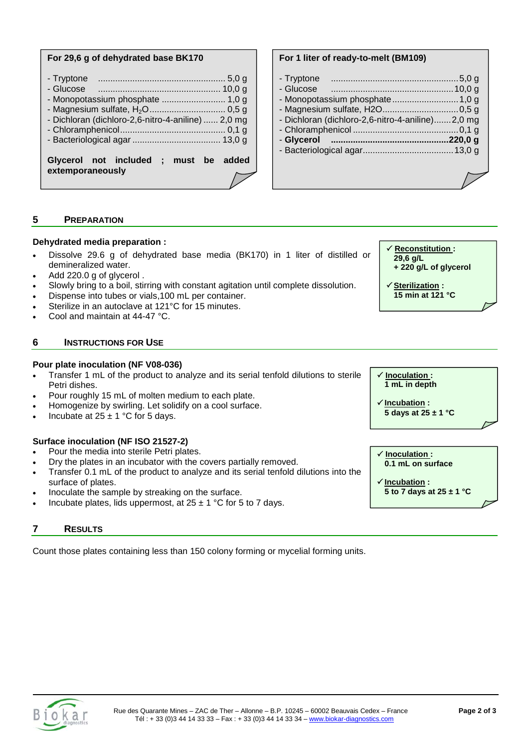#### **For 29,6 g of dehydrated base BK170**

| Glycerol not included ; must be added<br>extemporaneously |
|-----------------------------------------------------------|
| - Dichloran (dichloro-2,6-nitro-4-aniline)  2,0 mg        |
| - Glucose<br>$10,0$ q<br>- Monopotassium phosphate  1,0 g |
| - Tryptone                                                |

### **For 1 liter of ready-to-melt (BM109)**

| - Tryptone                                       |  |
|--------------------------------------------------|--|
| - Glucose                                        |  |
|                                                  |  |
|                                                  |  |
| - Dichloran (dichloro-2,6-nitro-4-aniline)2,0 mg |  |
|                                                  |  |
| - Glycerol memorantena and 220,0 g               |  |
|                                                  |  |
|                                                  |  |

# **5 PREPARATION**

#### **Dehydrated media preparation :**

- Dissolve 29.6 g of dehydrated base media (BK170) in 1 liter of distilled or demineralized water.
- Add 220.0 g of glycerol .
- Slowly bring to a boil, stirring with constant agitation until complete dissolution.
- Dispense into tubes or vials, 100 mL per container.
- Sterilize in an autoclave at 121°C for 15 minutes.
- Cool and maintain at 44-47 °C.

#### **6 INSTRUCTIONS FOR USE**

## **Pour plate inoculation (NF V08-036)**

- Transfer 1 mL of the product to analyze and its serial tenfold dilutions to sterile Petri dishes.
- Pour roughly 15 mL of molten medium to each plate.
- Homogenize by swirling. Let solidify on a cool surface.
- Incubate at  $25 \pm 1$  °C for 5 days.

#### **Surface inoculation (NF ISO 21527-2)**

- Pour the media into sterile Petri plates.
- Dry the plates in an incubator with the covers partially removed.
- Transfer 0.1 mL of the product to analyze and its serial tenfold dilutions into the surface of plates.
- Inoculate the sample by streaking on the surface.
- Incubate plates, lids uppermost, at  $25 \pm 1$  °C for 5 to 7 days.

## **7 RESULTS**

Count those plates containing less than 150 colony forming or mycelial forming units.

 **Reconstitution : 29,6 g/L + 220 g/L of glycerol Sterilization :** 

**15 min at 121 °C**

 **Inoculation : 1 mL in depth** 

$$
\frac{\sqrt{Incubation:}}{5 \text{ days at } 25 \pm 1 \text{ °C}}
$$